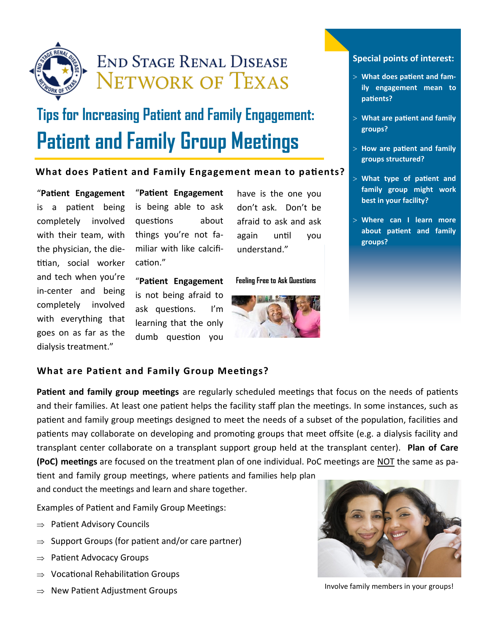

# **END STAGE RENAL DISEASE NETWORK OF TEXAS**

# **Tips for Increasing Patient and Family Engagement: Patient and Family Group Meetings**

#### **What does Patient and Family Engagement mean to patients?**

"**Patient Engagement**  is a patient being completely involved with their team, with the physician, the dietitian, social worker and tech when you're in-center and being completely involved with everything that goes on as far as the dialysis treatment."

"**Patient Engagement**  is being able to ask questions about things you're not familiar with like calcification."

"**Patient Engagement**  is not being afraid to ask questions. I'm learning that the only dumb question you

have is the one you don't ask. Don't be afraid to ask and ask again until you understand."

**Feeling Free to Ask Questions**



#### **Special points of interest:**

- **What does patient and family engagement mean to patients?**
- **What are patient and family groups?**
- **How are patient and family groups structured?**
- **What type of patient and family group might work best in your facility?**
- **Where can I learn more about patient and family groups?**

# **What are Patient and Family Group Meetings?**

**Patient and family group meetings** are regularly scheduled meetings that focus on the needs of patients and their families. At least one patient helps the facility staff plan the meetings. In some instances, such as patient and family group meetings designed to meet the needs of a subset of the population, facilities and patients may collaborate on developing and promoting groups that meet offsite (e.g. a dialysis facility and transplant center collaborate on a transplant support group held at the transplant center). **Plan of Care (PoC) meetings** are focused on the treatment plan of one individual. PoC meetings are NOT the same as pa-

tient and family group meetings, where patients and families help plan and conduct the meetings and learn and share together.

Examples of Patient and Family Group Meetings:

- $\Rightarrow$  Patient Advisory Councils
- $\Rightarrow$  Support Groups (for patient and/or care partner)
- $\Rightarrow$  Patient Advocacy Groups
- $\Rightarrow$  Vocational Rehabilitation Groups
- $\Rightarrow$  New Patient Adjustment Groups



Involve family members in your groups!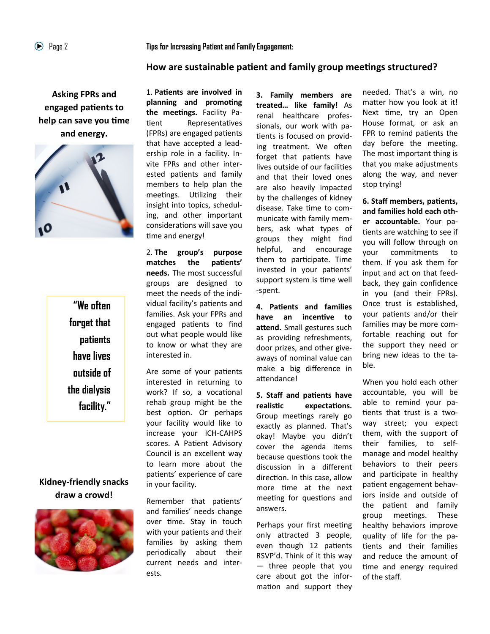#### **How are sustainable patient and family group meetings structured?**

**Asking FPRs and engaged patients to help can save you time and energy.**



**"We often forget that patients have lives outside of the dialysis facility."**

# **Kidney-friendly snacks draw a crowd!**



1. **Patients are involved in planning and promoting the meetings.** Facility Patient Representatives (FPRs) are engaged patients that have accepted a leadership role in a facility. Invite FPRs and other interested patients and family members to help plan the meetings. Utilizing their insight into topics, scheduling, and other important considerations will save you time and energy!

2. **The group's purpose matches the patients' needs.** The most successful groups are designed to meet the needs of the individual facility's patients and families. Ask your FPRs and engaged patients to find out what people would like to know or what they are interested in.

Are some of your patients interested in returning to work? If so, a vocational rehab group might be the best option. Or perhaps your facility would like to increase your ICH-CAHPS scores. A Patient Advisory Council is an excellent way to learn more about the patients' experience of care in your facility.

Remember that patients' and families' needs change over time. Stay in touch with your patients and their families by asking them periodically about their current needs and interests.

**3. Family members are treated… like family!** As renal healthcare professionals, our work with patients is focused on providing treatment. We often forget that patients have lives outside of our facilities and that their loved ones are also heavily impacted by the challenges of kidney disease. Take time to communicate with family members, ask what types of groups they might find helpful, and encourage them to participate. Time invested in your patients' support system is time well -spent.

**4. Patients and families have an incentive to attend.** Small gestures such as providing refreshments, door prizes, and other giveaways of nominal value can make a big difference in attendance!

**5. Staff and patients have realistic expectations.**  Group meetings rarely go exactly as planned. That's okay! Maybe you didn't cover the agenda items because questions took the discussion in a different direction. In this case, allow more time at the next meeting for questions and answers.

Perhaps your first meeting only attracted 3 people, even though 12 patients RSVP'd. Think of it this way — three people that you care about got the information and support they

needed. That's a win, no matter how you look at it! Next time, try an Open House format, or ask an FPR to remind patients the day before the meeting. The most important thing is that you make adjustments along the way, and never stop trying!

**6. Staff members, patients, and families hold each other accountable.** Your patients are watching to see if you will follow through on your commitments to them. If you ask them for input and act on that feedback, they gain confidence in you (and their FPRs). Once trust is established, your patients and/or their families may be more comfortable reaching out for the support they need or bring new ideas to the table.

When you hold each other accountable, you will be able to remind your patients that trust is a twoway street; you expect them, with the support of their families, to selfmanage and model healthy behaviors to their peers and participate in healthy patient engagement behaviors inside and outside of the patient and family group meetings. These healthy behaviors improve quality of life for the patients and their families and reduce the amount of time and energy required of the staff.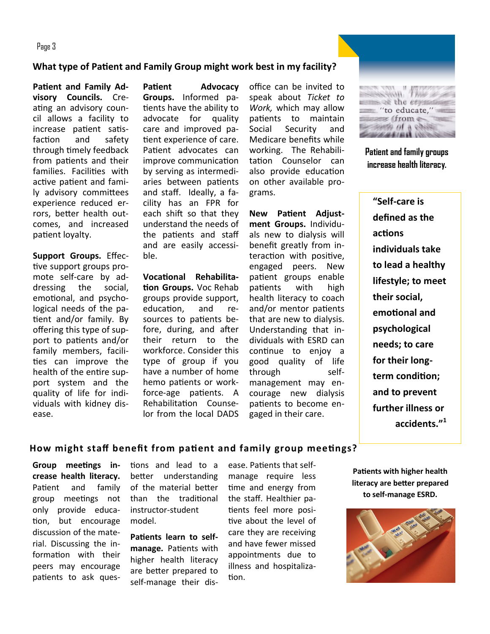Page 3

#### **What type of Patient and Family Group might work best in my facility?**

**Patient and Family Advisory Councils.** Creating an advisory council allows a facility to increase patient satisfaction and safety through timely feedback from patients and their families. Facilities with active patient and family advisory committees experience reduced errors, better health outcomes, and increased patient loyalty.

**Support Groups.** Effective support groups promote self-care by addressing the social, emotional, and psychological needs of the patient and/or family. By offering this type of support to patients and/or family members, facilities can improve the health of the entire support system and the quality of life for individuals with kidney disease.

**Patient Advocacy Groups.** Informed patients have the ability to advocate for quality care and improved patient experience of care. Patient advocates can improve communication by serving as intermediaries between patients and staff. Ideally, a facility has an FPR for each shift so that they understand the needs of the patients and staff and are easily accessible.

**Vocational Rehabilitation Groups.** Voc Rehab groups provide support, education, and resources to patients before, during, and after their return to the workforce. Consider this type of group if you have a number of home hemo patients or workforce-age patients. A Rehabilitation Counselor from the local DADS

office can be invited to speak about *Ticket to Work,* which may allow patients to maintain Social Security and Medicare benefits while working. The Rehabilitation Counselor can also provide education on other available programs.

**New Patient Adjustment Groups.** Individuals new to dialysis will benefit greatly from interaction with positive, engaged peers. New patient groups enable patients with high health literacy to coach and/or mentor patients that are new to dialysis. Understanding that individuals with ESRD can continue to enjoy a good quality of life through selfmanagement may encourage new dialysis patients to become engaged in their care.



**Patient and family groups increase health literacy.**

**"Self-care is defined as the actions individuals take to lead a healthy lifestyle; to meet their social, emotional and psychological needs; to care for their longterm condition; and to prevent further illness or accidents."[1](http://www.ncbi.nlm.nih.gov/pmc/articles/PMC2071971/#ref3#ref3)**

#### **How might staff benefit from patient and family group meetings?**

**Group meetings increase health literacy.**  Patient and family group meetings not only provide education, but encourage discussion of the material. Discussing the information with their peers may encourage patients to ask ques-

tions and lead to a better understanding of the material better than the traditional instructor-student model.

**Patients learn to selfmanage.** Patients with higher health literacy are better prepared to self-manage their disease. Patients that selfmanage require less time and energy from the staff. Healthier patients feel more positive about the level of care they are receiving and have fewer missed appointments due to illness and hospitalization.

**Patients with higher health literacy are better prepared to self-manage ESRD.**